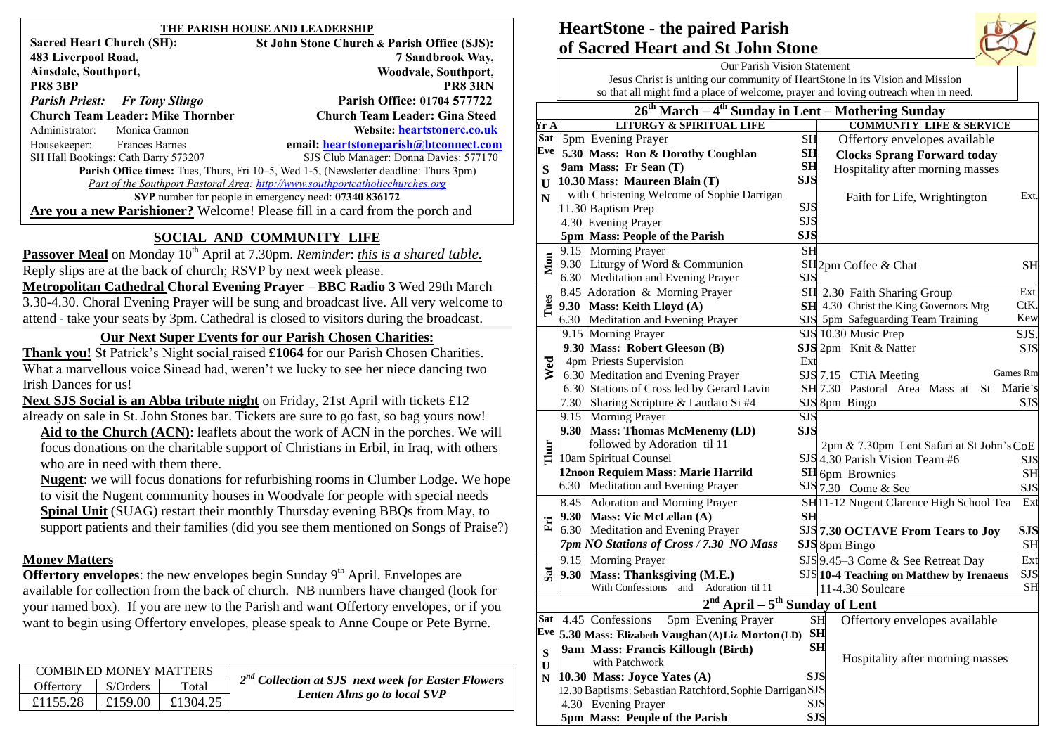| THE PARISH HOUSE AND LEADERSHIP                                                       |  |                                             |  |  |  |  |  |
|---------------------------------------------------------------------------------------|--|---------------------------------------------|--|--|--|--|--|
| <b>Sacred Heart Church (SH):</b>                                                      |  | St John Stone Church & Parish Office (SJS): |  |  |  |  |  |
| 483 Liverpool Road,                                                                   |  | 7 Sandbrook Way,                            |  |  |  |  |  |
| Ainsdale, Southport,                                                                  |  | Woodvale, Southport,                        |  |  |  |  |  |
| PR8 3BP                                                                               |  | <b>PR8 3RN</b>                              |  |  |  |  |  |
| <b>Parish Priest:</b> Fr Tony Slingo                                                  |  | <b>Parish Office: 01704 577722</b>          |  |  |  |  |  |
| <b>Church Team Leader: Mike Thornber</b>                                              |  | <b>Church Team Leader: Gina Steed</b>       |  |  |  |  |  |
| Administrator:<br>Monica Gannon                                                       |  | Website: heartstonerc.co.uk                 |  |  |  |  |  |
| Housekeeper:<br><b>Frances Barnes</b>                                                 |  | email: heartstoneparish@btconnect.com       |  |  |  |  |  |
| SH Hall Bookings: Cath Barry 573207                                                   |  | SJS Club Manager: Donna Davies: 577170      |  |  |  |  |  |
| Parish Office times: Tues, Thurs, Fri 10-5, Wed 1-5, (Newsletter deadline: Thurs 3pm) |  |                                             |  |  |  |  |  |
| Part of the Southport Pastoral Area: http://www.southportcatholicchurches.org         |  |                                             |  |  |  |  |  |
| SVP number for people in emergency need: 07340 836172                                 |  |                                             |  |  |  |  |  |
| Are you a new Parishioner? Welcome! Please fill in a card from the porch and          |  |                                             |  |  |  |  |  |
| $\cdots$                                                                              |  |                                             |  |  |  |  |  |

# **SOCIAL AND COMMUNITY LIFE**

**Passover Meal** on Monday 10<sup>th</sup> April at 7.30pm. *Reminder: this is a shared table.* Reply slips are at the back of church; RSVP by next week please. **Metropolitan Cathedral Choral Evening Prayer – BBC Radio 3** Wed 29th March 3.30-4.30. Choral Evening Prayer will be sung and broadcast live. All very welcome to attend - take your seats by 3pm. Cathedral is closed to visitors during the broadcast.

# **Our Next Super Events for our Parish Chosen Charities:**

**Thank you!** St Patrick's Night social raised **£1064** for our Parish Chosen Charities. What a marvellous voice Sinead had, weren't we lucky to see her niece dancing two Irish Dances for us!

**Next SJS Social is an Abba tribute night** on Friday, 21st April with tickets £12 already on sale in St. John Stones bar. Tickets are sure to go fast, so bag yours now!

**Aid to the Church (ACN)**: leaflets about the work of ACN in the porches. We will focus donations on the charitable support of Christians in Erbil, in Iraq, with others who are in need with them there.

**Nugent**: we will focus donations for refurbishing rooms in Clumber Lodge. We hope to visit the Nugent community houses in Woodvale for people with special needs **Spinal Unit** (SUAG) restart their monthly Thursday evening BBQs from May, to support patients and their families (did you see them mentioned on Songs of Praise?)

# **Money Matters**

**Offertory envelopes**: the new envelopes begin Sunday 9<sup>th</sup> April. Envelopes are available for collection from the back of church. NB numbers have changed (look for your named box). If you are new to the Parish and want Offertory envelopes, or if you want to begin using Offertory envelopes, please speak to Anne Coupe or Pete Byrne.

| $2nd$ Collection at SJS next week for Easter Flowers | <b>COMBINED MONEY MATTERS</b> |          |           |
|------------------------------------------------------|-------------------------------|----------|-----------|
|                                                      | Total                         | S/Orders | Offertory |
| Lenten Alms go to local SVP                          | £1304.25                      | £159.00  | £1155.28  |
|                                                      |                               |          |           |

# **HeartStone - the paired Parish of Sacred Heart and St John Stone**

|                    | <b>Our Parish Vision Statement</b>                                            |                                                                                     |            |                                                     |            |  |  |  |  |  |
|--------------------|-------------------------------------------------------------------------------|-------------------------------------------------------------------------------------|------------|-----------------------------------------------------|------------|--|--|--|--|--|
|                    | Jesus Christ is uniting our community of HeartStone in its Vision and Mission |                                                                                     |            |                                                     |            |  |  |  |  |  |
|                    |                                                                               | so that all might find a place of welcome, prayer and loving outreach when in need. |            |                                                     |            |  |  |  |  |  |
|                    |                                                                               | $26th March - 4th Sunday in Lent - Mothering Sunday$                                |            |                                                     |            |  |  |  |  |  |
| Yr A               |                                                                               | <b>LITURGY &amp; SPIRITUAL LIFE</b>                                                 |            | <b>COMMUNITY LIFE &amp; SERVICE</b>                 |            |  |  |  |  |  |
| Sat                |                                                                               | 5pm Evening Prayer                                                                  | <b>SH</b>  | Offertory envelopes available                       |            |  |  |  |  |  |
| Eve                |                                                                               | 5.30 Mass: Ron & Dorothy Coughlan                                                   | SH         | <b>Clocks Sprang Forward today</b>                  |            |  |  |  |  |  |
| S                  |                                                                               | 9am Mass: Fr Sean (T)                                                               | <b>SH</b>  | Hospitality after morning masses                    |            |  |  |  |  |  |
| $\mathbf{U}$       |                                                                               | 10.30 Mass: Maureen Blain (T)                                                       | <b>SJS</b> |                                                     |            |  |  |  |  |  |
| N                  |                                                                               | with Christening Welcome of Sophie Darrigan                                         |            | Faith for Life, Wrightington                        | Ext        |  |  |  |  |  |
|                    |                                                                               | 11.30 Baptism Prep                                                                  | SJS        |                                                     |            |  |  |  |  |  |
|                    |                                                                               | 4.30 Evening Prayer                                                                 | <b>SJS</b> |                                                     |            |  |  |  |  |  |
|                    |                                                                               | 5pm Mass: People of the Parish                                                      | <b>SJS</b> |                                                     |            |  |  |  |  |  |
|                    |                                                                               | 9.15 Morning Prayer                                                                 | <b>SH</b>  |                                                     |            |  |  |  |  |  |
| Mon                |                                                                               | 9.30 Liturgy of Word & Communion                                                    |            | SH <sub>2pm</sub> Coffee & Chat                     | <b>SH</b>  |  |  |  |  |  |
|                    |                                                                               | 6.30 Meditation and Evening Prayer                                                  | <b>SJS</b> |                                                     |            |  |  |  |  |  |
|                    |                                                                               | 8.45 Adoration & Morning Prayer                                                     |            | SH 2.30 Faith Sharing Group                         | Ext        |  |  |  |  |  |
| Tues               |                                                                               | 9.30 Mass: Keith Lloyd (A)                                                          |            | SH 4.30 Christ the King Governors Mtg               | CtK.       |  |  |  |  |  |
|                    |                                                                               | 6.30 Meditation and Evening Prayer                                                  |            | SJS 5pm Safeguarding Team Training                  | Kew        |  |  |  |  |  |
|                    |                                                                               | 9.15 Morning Prayer                                                                 |            | SJS 10.30 Music Prep                                | SJS.       |  |  |  |  |  |
|                    |                                                                               | 9.30 Mass: Robert Gleeson (B)                                                       |            | SJS 2pm Knit & Natter                               | <b>SJS</b> |  |  |  |  |  |
| Wed                |                                                                               | 4pm Priests Supervision                                                             | Ext        |                                                     |            |  |  |  |  |  |
|                    |                                                                               | 6.30 Meditation and Evening Prayer                                                  |            | Games Rm<br>SJS 7.15 CTiA Meeting                   |            |  |  |  |  |  |
|                    |                                                                               | 6.30 Stations of Cross led by Gerard Lavin                                          |            | SH 7.30 Pastoral Area Mass at<br>St Marie's         |            |  |  |  |  |  |
|                    |                                                                               | 7.30 Sharing Scripture & Laudato Si #4                                              |            | SJS 8pm Bingo                                       | SJS        |  |  |  |  |  |
|                    |                                                                               | 9.15 Morning Prayer                                                                 | <b>SJS</b> |                                                     |            |  |  |  |  |  |
|                    |                                                                               | 9.30 Mass: Thomas McMenemy (LD)                                                     | <b>SJS</b> |                                                     |            |  |  |  |  |  |
| Thur               |                                                                               | followed by Adoration til 11<br>10am Spiritual Counsel                              |            | 2pm & 7.30pm Lent Safari at St John's CoE           |            |  |  |  |  |  |
|                    |                                                                               | 12noon Requiem Mass: Marie Harrild                                                  |            | SJS 4.30 Parish Vision Team #6                      | SJS        |  |  |  |  |  |
|                    |                                                                               | 6.30 Meditation and Evening Prayer                                                  |            | <b>SH</b> 6pm Brownies                              | <b>SH</b>  |  |  |  |  |  |
|                    |                                                                               |                                                                                     |            | $\frac{\text{SJS}}{7.30}$ Come & See                | <b>SJS</b> |  |  |  |  |  |
|                    |                                                                               | 8.45 Adoration and Morning Prayer                                                   |            | SH <sup>11-12</sup> Nugent Clarence High School Tea | Ext        |  |  |  |  |  |
| Ë                  |                                                                               | 9.30 Mass: Vic McLellan (A)                                                         | <b>SH</b>  |                                                     |            |  |  |  |  |  |
|                    |                                                                               | 6.30 Meditation and Evening Prayer                                                  |            | SJS 7.30 OCTAVE From Tears to Joy                   | <b>SJS</b> |  |  |  |  |  |
|                    |                                                                               | 7pm NO Stations of Cross / 7.30 NO Mass                                             |            | SJS 8pm Bingo                                       | <b>SH</b>  |  |  |  |  |  |
|                    |                                                                               | 9.15 Morning Prayer                                                                 |            | SJS 9.45-3 Come & See Retreat Day                   | Ext        |  |  |  |  |  |
| $S_{\overline{a}}$ |                                                                               | 9.30 Mass: Thanksgiving (M.E.)                                                      |            | SJS 10-4 Teaching on Matthew by Irenaeus            | <b>SJS</b> |  |  |  |  |  |
|                    |                                                                               | <b>With Confessions</b><br>Adoration til 11<br>and                                  |            | 11-4.30 Soulcare                                    | <b>SH</b>  |  |  |  |  |  |
|                    | $\overline{\text{April}} - 5^{\text{th}}$<br><b>Sunday of Lent</b>            |                                                                                     |            |                                                     |            |  |  |  |  |  |
|                    |                                                                               | Sat 4.45 Confessions<br>5pm Evening Prayer                                          |            | <b>SH</b><br>Offertory envelopes available          |            |  |  |  |  |  |
| Eve                | 5.30 Mass: Elizabeth Vaughan (A) Liz Morton (LD)<br><b>SH</b>                 |                                                                                     |            |                                                     |            |  |  |  |  |  |
| ${\bf S}$          |                                                                               | 9am Mass: Francis Killough (Birth)                                                  | <b>SH</b>  |                                                     |            |  |  |  |  |  |
| U                  |                                                                               | with Patchwork                                                                      |            | Hospitality after morning masses                    |            |  |  |  |  |  |
| N                  | <b>SJS</b><br>10.30 Mass: Joyce Yates (A)                                     |                                                                                     |            |                                                     |            |  |  |  |  |  |
|                    | 12.30 Baptisms: Sebastian Ratchford, Sophie Darrigan SJS                      |                                                                                     |            |                                                     |            |  |  |  |  |  |
|                    |                                                                               | 4.30 Evening Prayer                                                                 | <b>SJS</b> |                                                     |            |  |  |  |  |  |
|                    |                                                                               | 5pm Mass: People of the Parish                                                      | <b>SJS</b> |                                                     |            |  |  |  |  |  |